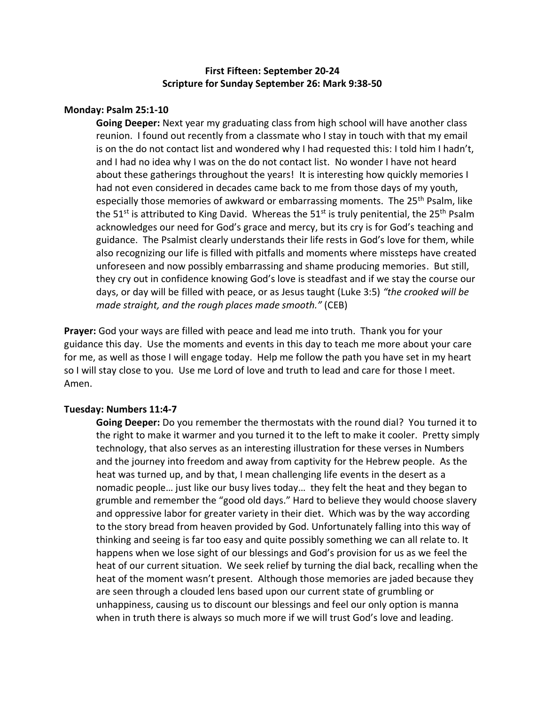# **First Fifteen: September 20-24 Scripture for Sunday September 26: Mark 9:38-50**

### **Monday: Psalm 25:1-10**

**Going Deeper:** Next year my graduating class from high school will have another class reunion. I found out recently from a classmate who I stay in touch with that my email is on the do not contact list and wondered why I had requested this: I told him I hadn't, and I had no idea why I was on the do not contact list. No wonder I have not heard about these gatherings throughout the years! It is interesting how quickly memories I had not even considered in decades came back to me from those days of my youth, especially those memories of awkward or embarrassing moments. The 25<sup>th</sup> Psalm, like the 51<sup>st</sup> is attributed to King David. Whereas the 51<sup>st</sup> is truly penitential, the 25<sup>th</sup> Psalm acknowledges our need for God's grace and mercy, but its cry is for God's teaching and guidance. The Psalmist clearly understands their life rests in God's love for them, while also recognizing our life is filled with pitfalls and moments where missteps have created unforeseen and now possibly embarrassing and shame producing memories. But still, they cry out in confidence knowing God's love is steadfast and if we stay the course our days, or day will be filled with peace, or as Jesus taught (Luke 3:5) *"the crooked will be made straight, and the rough places made smooth."* (CEB)

**Prayer:** God your ways are filled with peace and lead me into truth. Thank you for your guidance this day. Use the moments and events in this day to teach me more about your care for me, as well as those I will engage today. Help me follow the path you have set in my heart so I will stay close to you. Use me Lord of love and truth to lead and care for those I meet. Amen.

## **Tuesday: Numbers 11:4-7**

**Going Deeper:** Do you remember the thermostats with the round dial? You turned it to the right to make it warmer and you turned it to the left to make it cooler. Pretty simply technology, that also serves as an interesting illustration for these verses in Numbers and the journey into freedom and away from captivity for the Hebrew people. As the heat was turned up, and by that, I mean challenging life events in the desert as a nomadic people… just like our busy lives today… they felt the heat and they began to grumble and remember the "good old days." Hard to believe they would choose slavery and oppressive labor for greater variety in their diet. Which was by the way according to the story bread from heaven provided by God. Unfortunately falling into this way of thinking and seeing is far too easy and quite possibly something we can all relate to. It happens when we lose sight of our blessings and God's provision for us as we feel the heat of our current situation. We seek relief by turning the dial back, recalling when the heat of the moment wasn't present. Although those memories are jaded because they are seen through a clouded lens based upon our current state of grumbling or unhappiness, causing us to discount our blessings and feel our only option is manna when in truth there is always so much more if we will trust God's love and leading.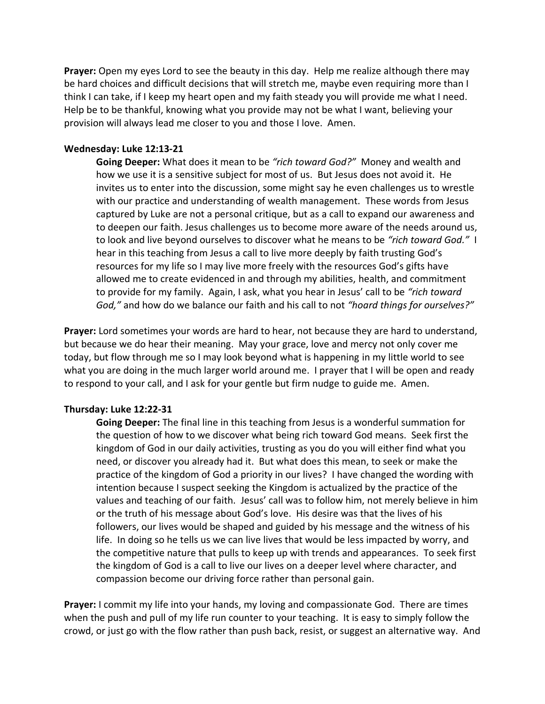**Prayer:** Open my eyes Lord to see the beauty in this day. Help me realize although there may be hard choices and difficult decisions that will stretch me, maybe even requiring more than I think I can take, if I keep my heart open and my faith steady you will provide me what I need. Help be to be thankful, knowing what you provide may not be what I want, believing your provision will always lead me closer to you and those I love. Amen.

### **Wednesday: Luke 12:13-21**

**Going Deeper:** What does it mean to be *"rich toward God?"* Money and wealth and how we use it is a sensitive subject for most of us. But Jesus does not avoid it. He invites us to enter into the discussion, some might say he even challenges us to wrestle with our practice and understanding of wealth management. These words from Jesus captured by Luke are not a personal critique, but as a call to expand our awareness and to deepen our faith. Jesus challenges us to become more aware of the needs around us, to look and live beyond ourselves to discover what he means to be *"rich toward God."* I hear in this teaching from Jesus a call to live more deeply by faith trusting God's resources for my life so I may live more freely with the resources God's gifts have allowed me to create evidenced in and through my abilities, health, and commitment to provide for my family. Again, I ask, what you hear in Jesus' call to be *"rich toward God,"* and how do we balance our faith and his call to not *"hoard things for ourselves?"*

**Prayer:** Lord sometimes your words are hard to hear, not because they are hard to understand, but because we do hear their meaning. May your grace, love and mercy not only cover me today, but flow through me so I may look beyond what is happening in my little world to see what you are doing in the much larger world around me. I prayer that I will be open and ready to respond to your call, and I ask for your gentle but firm nudge to guide me. Amen.

## **Thursday: Luke 12:22-31**

**Going Deeper:** The final line in this teaching from Jesus is a wonderful summation for the question of how to we discover what being rich toward God means. Seek first the kingdom of God in our daily activities, trusting as you do you will either find what you need, or discover you already had it. But what does this mean, to seek or make the practice of the kingdom of God a priority in our lives? I have changed the wording with intention because I suspect seeking the Kingdom is actualized by the practice of the values and teaching of our faith. Jesus' call was to follow him, not merely believe in him or the truth of his message about God's love. His desire was that the lives of his followers, our lives would be shaped and guided by his message and the witness of his life. In doing so he tells us we can live lives that would be less impacted by worry, and the competitive nature that pulls to keep up with trends and appearances. To seek first the kingdom of God is a call to live our lives on a deeper level where character, and compassion become our driving force rather than personal gain.

**Prayer:** I commit my life into your hands, my loving and compassionate God. There are times when the push and pull of my life run counter to your teaching. It is easy to simply follow the crowd, or just go with the flow rather than push back, resist, or suggest an alternative way. And